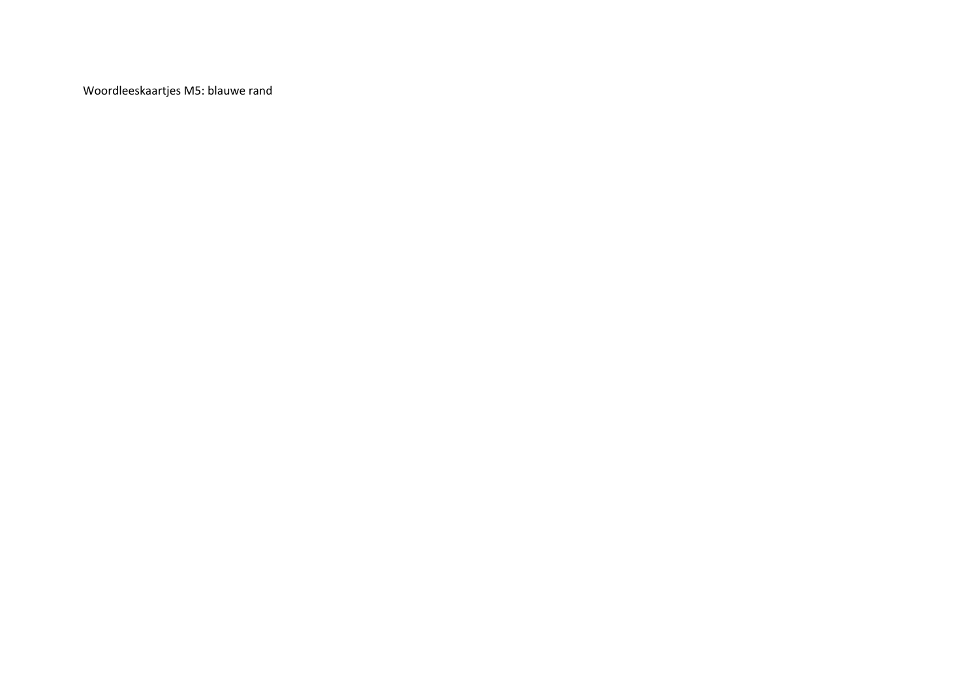Woordleeskaartjes M5: blauwe rand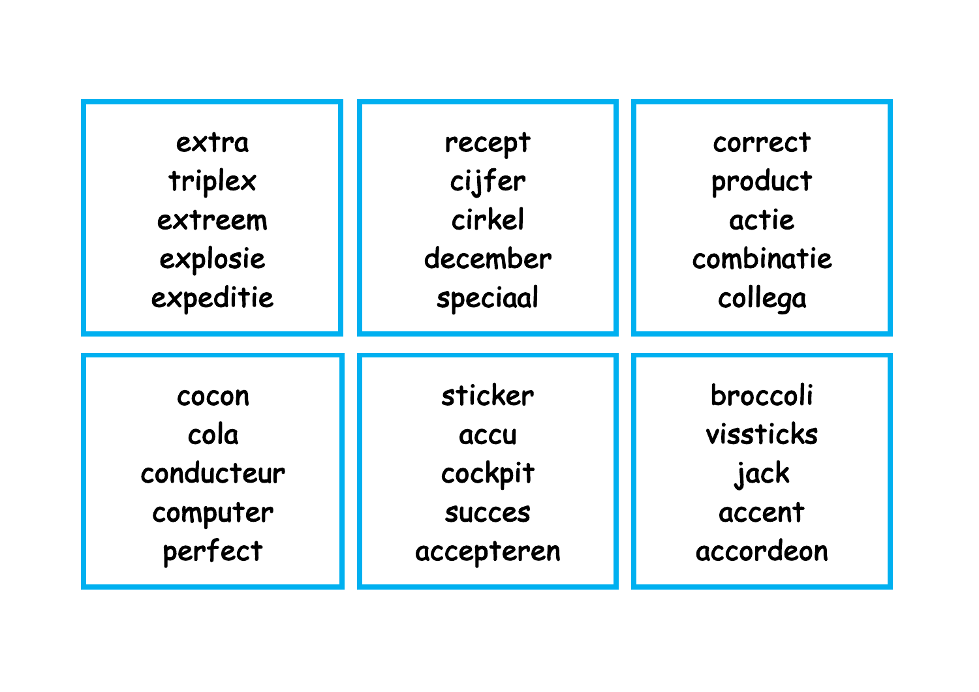| extra      | recept        | correct    |
|------------|---------------|------------|
| triplex    | cijfer        | product    |
| extreem    | cirkel        | actie      |
| explosie   | december      | combinatie |
| expeditie  | speciaal      | collega    |
| cocon      | sticker       | broccoli   |
| cola       | accu          | vissticks  |
| conducteur | cockpit       | jack       |
| computer   | <b>SUCCES</b> | accent     |
| perfect    | accepteren    | accordeon  |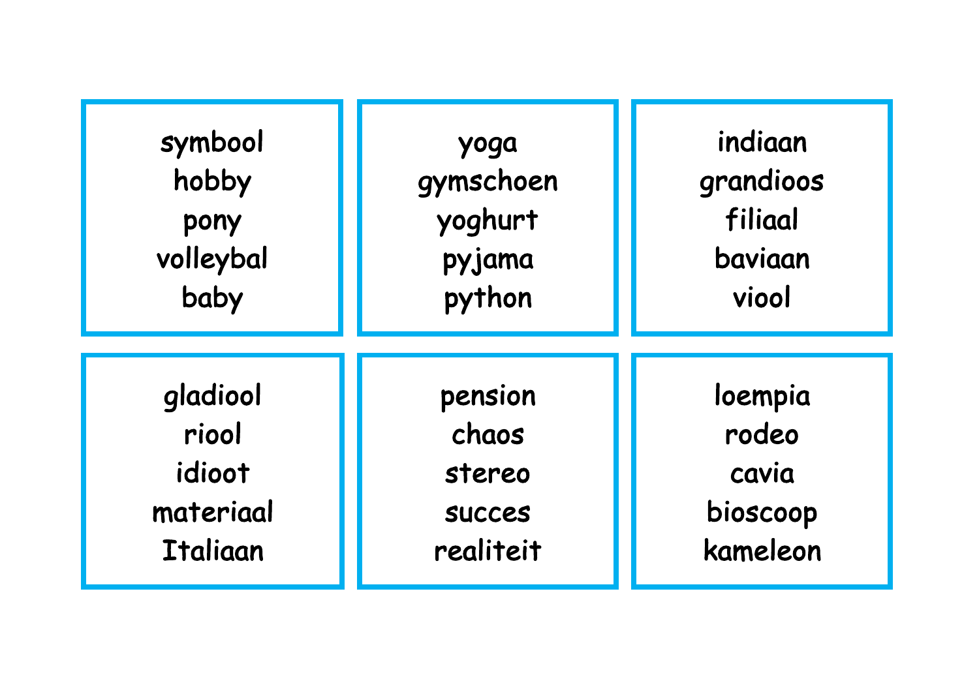| symbool         | yoga          | indiaan   |
|-----------------|---------------|-----------|
| hobby           | gymschoen     | grandioos |
| pony            | yoghurt       | filiaal   |
| volleybal       | pyjama        | baviaan   |
| baby            | python        | viool     |
| gladiool        | pension       | loempia   |
| riool           | chaos         | rodeo     |
| idioot          | stereo        | cavia     |
| materiaal       | <b>SUCCES</b> | bioscoop  |
| <b>Italiaan</b> | realiteit     | kameleon  |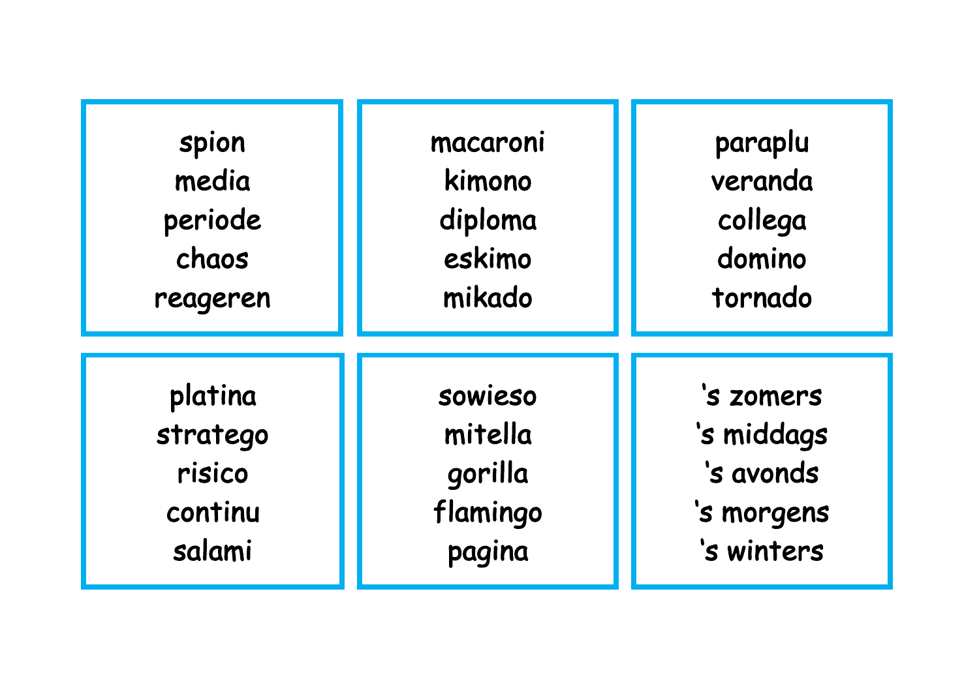| spion    | macaroni | paraplu    |
|----------|----------|------------|
| media    | kimono   | veranda    |
| periode  | diploma  | collega    |
| chaos    | eskimo   | domino     |
| reageren | mikado   | tornado    |
| platina  | sowieso  | 's zomers  |
| stratego | mitella  | 's middags |
| risico   | gorilla  | 's avonds  |
| continu  | flamingo | 's morgens |
| salami   | pagina   | 's winters |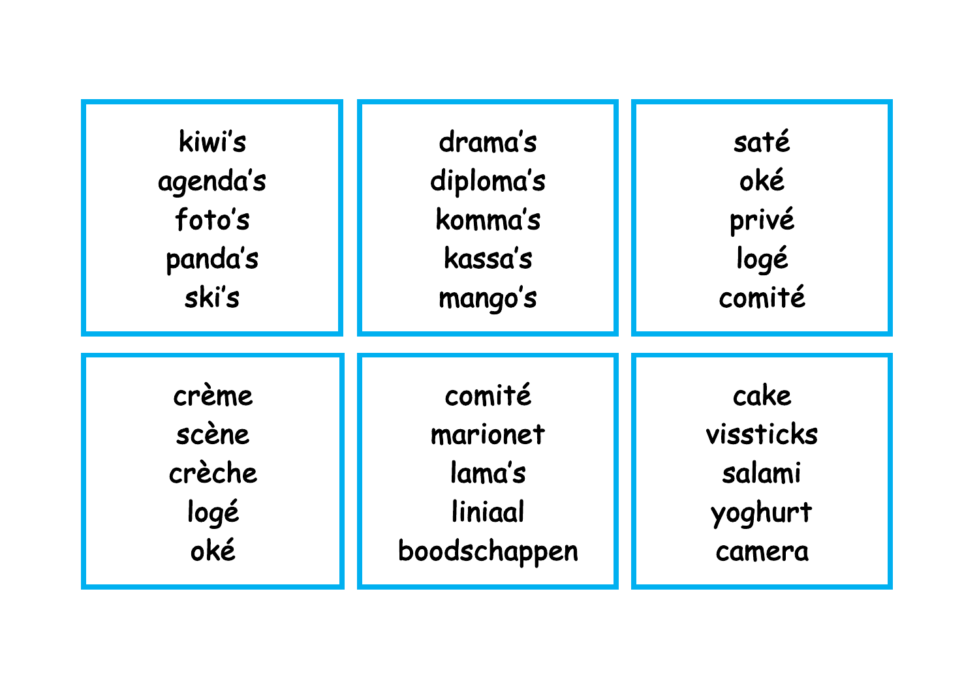| kiwi's   | drama's      | saté      |
|----------|--------------|-----------|
| agenda's | diploma's    | oké       |
| foto's   | komma's      | privé     |
| panda's  | kassa's      | logé      |
| ski's    | mango's      | comité    |
| crème    | comité       | cake      |
| scène    | marionet     | vissticks |
| crèche   | lama's       | salami    |
| logé     | liniaal      | yoghurt   |
| oké      | boodschappen | camera    |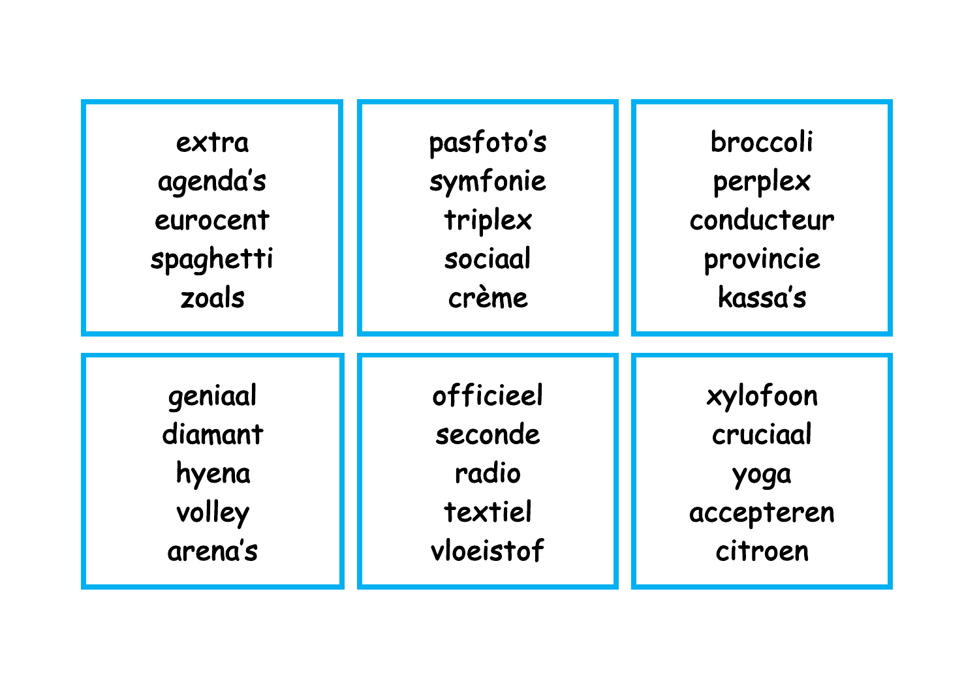| extra     | pasfoto's | broccoli   |
|-----------|-----------|------------|
| agenda's  | symfonie  | perplex    |
| eurocent  | triplex   | conducteur |
| spaghetti | sociaal   | provincie  |
| zoals     | crème     | kassa's    |
| geniaal   | officieel | xylofoon   |
| diamant   | seconde   | cruciaal   |
| hyena     | radio     | yoga       |
| volley    | textiel   | accepteren |
| arena's   | vloeistof | citroen    |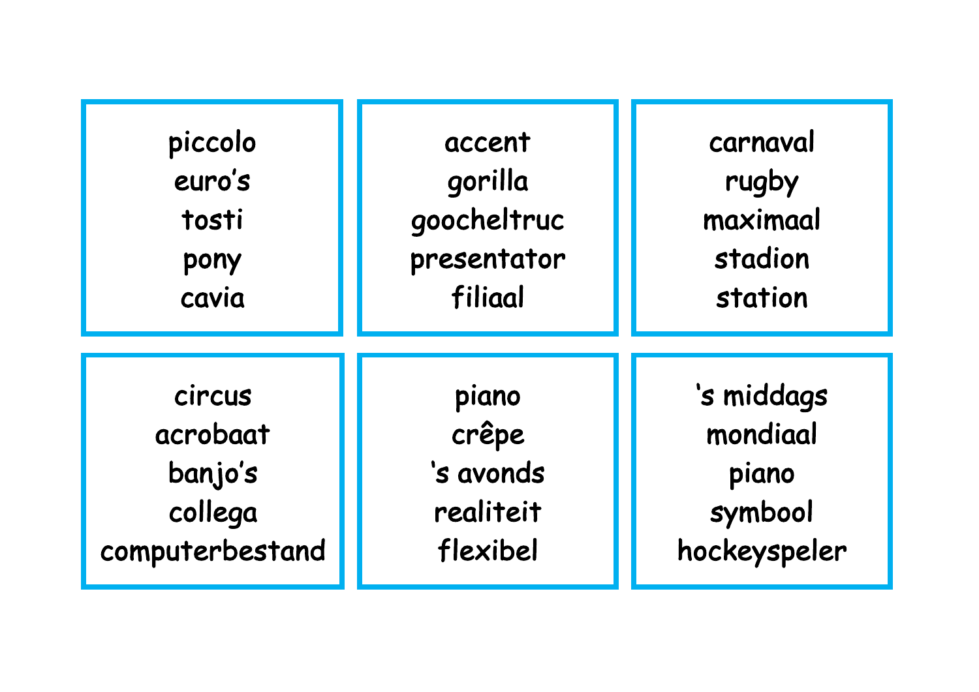| piccolo         | accent      | carnaval     |
|-----------------|-------------|--------------|
| euro's          | gorilla     | rugby        |
| tosti           | goocheltruc | maximaal     |
| pony            | presentator | stadion      |
| cavia           | filiaal     | station      |
| circus          | piano       | 's middags   |
| acrobaat        | crêpe       | mondiaal     |
| banjo's         | 's avonds   | piano        |
| collega         | realiteit   | symbool      |
| computerbestand | flexibel    | hockeyspeler |